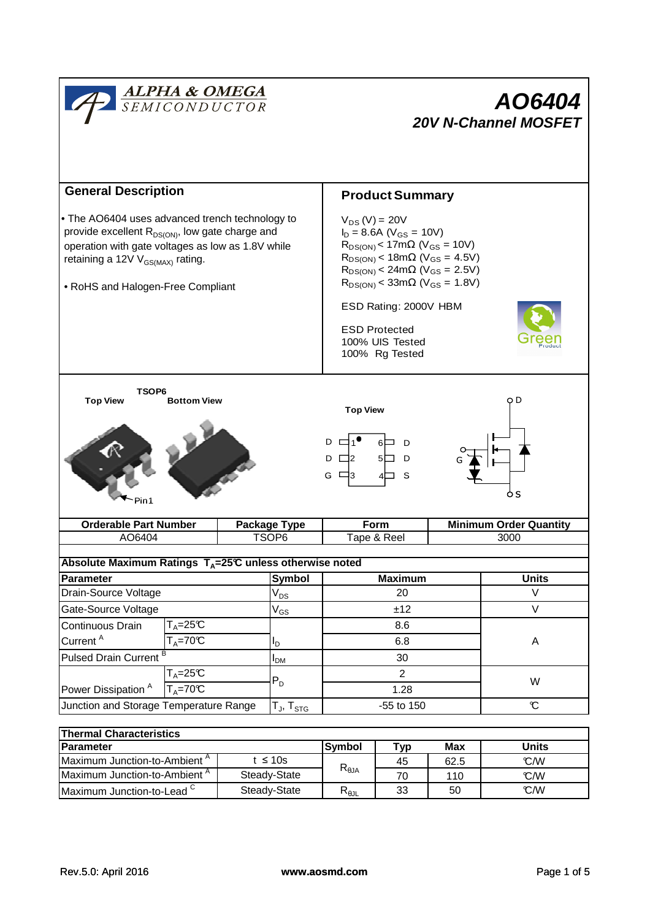

| <b>Parameter</b>                         |              | <b>Symbol</b>  | тур | Max  | Units |  |
|------------------------------------------|--------------|----------------|-----|------|-------|--|
| Maximum Junction-to-Ambient <sup>^</sup> | t ≤ 10s      | $R_{\theta$ JA | 45  | 62.5 | C/W   |  |
| Maximum Junction-to-Ambient <sup>A</sup> | Steady-State |                | 70  | 110  | C/W   |  |
| Maximum Junction-to-Lead <sup>C</sup>    | Steady-State | $R_{\theta$ JL | 33  | 50   | C/W   |  |
|                                          |              |                |     |      |       |  |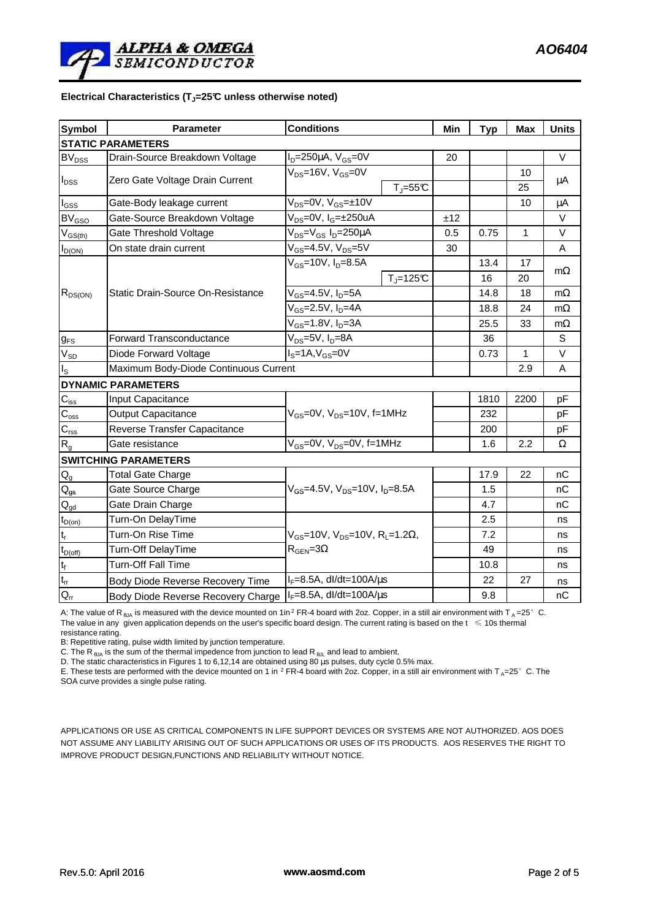### **Electrical Characteristics (TJ=25°C unless otherwise noted)**

| <b>Symbol</b>                                        | <b>Conditions</b><br><b>Parameter</b>                                      |                                                                                            |             | Min  | <b>Typ</b> | Max       | <b>Units</b> |  |  |  |  |
|------------------------------------------------------|----------------------------------------------------------------------------|--------------------------------------------------------------------------------------------|-------------|------|------------|-----------|--------------|--|--|--|--|
| <b>STATIC PARAMETERS</b>                             |                                                                            |                                                                                            |             |      |            |           |              |  |  |  |  |
| <b>BV<sub>DSS</sub></b>                              | Drain-Source Breakdown Voltage                                             | $I_D = 250 \mu A$ , $V_{GS} = 0V$                                                          |             | 20   |            |           | $\vee$       |  |  |  |  |
| $I_{DSS}$                                            | Zero Gate Voltage Drain Current                                            | $V_{DS}$ =16V, $V_{GS}$ =0V                                                                |             |      |            | 10        |              |  |  |  |  |
|                                                      |                                                                            |                                                                                            | $T_J = 55C$ |      |            | 25        | μA           |  |  |  |  |
| $I_{GSS}$                                            | Gate-Body leakage current                                                  | $V_{DS} = 0V$ , $V_{GS} = \pm 10V$                                                         |             |      |            | 10        | μA           |  |  |  |  |
| <b>BV<sub>GSO</sub></b>                              | Gate-Source Breakdown Voltage                                              | V <sub>DS</sub> =0V, I <sub>G</sub> =±250uA                                                |             | ±12  |            |           | $\vee$       |  |  |  |  |
| $V_{GS(th)}$                                         | Gate Threshold Voltage                                                     | V <sub>DS</sub> =V <sub>GS</sub> I <sub>D</sub> =250µA                                     |             | 0.5  | 0.75       | 1         | V            |  |  |  |  |
| $I_{D(ON)}$                                          | On state drain current                                                     | $V_{GS} = 4.5V$ , $V_{DS} = 5V$                                                            |             | 30   |            |           | A            |  |  |  |  |
| $R_{DS(ON)}$                                         | <b>Static Drain-Source On-Resistance</b>                                   | $V_{GS}$ =10V, $I_{D}$ =8.5A                                                               |             |      | 13.4       | 17        |              |  |  |  |  |
|                                                      |                                                                            |                                                                                            | $TJ=125C$   |      | 16         | 20        | $m\Omega$    |  |  |  |  |
|                                                      |                                                                            | V <sub>GS</sub> =4.5V, I <sub>D</sub> =5A                                                  |             |      | 14.8       | 18        | $m\Omega$    |  |  |  |  |
|                                                      |                                                                            | $V_{GS}$ =2.5V, $I_{D}$ =4A                                                                |             |      | 18.8       | 24        | $m\Omega$    |  |  |  |  |
|                                                      |                                                                            | $V_{GS}$ =1.8V, $I_D$ =3A                                                                  |             | 25.5 | 33         | $m\Omega$ |              |  |  |  |  |
| $g_{FS}$                                             | <b>Forward Transconductance</b><br>V <sub>DS</sub> =5V, I <sub>D</sub> =8A |                                                                                            |             | 36   |            | S         |              |  |  |  |  |
| $\rm V_{SD}$                                         | Diode Forward Voltage                                                      | $IS=1A, VGS=0V$                                                                            |             |      | 0.73       | 1         | $\vee$       |  |  |  |  |
| Maximum Body-Diode Continuous Current<br>$I_{\rm S}$ |                                                                            |                                                                                            |             |      |            | 2.9       | A            |  |  |  |  |
|                                                      | <b>DYNAMIC PARAMETERS</b>                                                  |                                                                                            |             |      |            |           |              |  |  |  |  |
| $C_{iss}$                                            | Input Capacitance                                                          | $V_{GS}$ =0V, $V_{DS}$ =10V, f=1MHz                                                        |             |      | 1810       | 2200      | pF           |  |  |  |  |
| $\overline{C_{\text{oss}}}$                          | <b>Output Capacitance</b>                                                  |                                                                                            |             |      | 232        |           | pF           |  |  |  |  |
| $\mathsf{C}_{\text{rss}}$                            | Reverse Transfer Capacitance                                               |                                                                                            |             |      | 200        |           | pF           |  |  |  |  |
| $R_{q}$                                              | Gate resistance                                                            | $V_{GS}$ =0V, $V_{DS}$ =0V, f=1MHz                                                         |             |      | 1.6        | 2.2       | Ω            |  |  |  |  |
|                                                      | <b>SWITCHING PARAMETERS</b>                                                |                                                                                            |             |      |            |           |              |  |  |  |  |
| $Q_g$                                                | <b>Total Gate Charge</b>                                                   | $V_{GS}$ =4.5V, $V_{DS}$ =10V, $I_{D}$ =8.5A                                               |             |      | 17.9       | 22        | nС           |  |  |  |  |
| $Q_{gs}$                                             | Gate Source Charge                                                         |                                                                                            |             |      | 1.5        |           | nC           |  |  |  |  |
| $Q_{gd}$                                             | Gate Drain Charge                                                          |                                                                                            |             |      | 4.7        |           | nC           |  |  |  |  |
| $t_{D(0n)}$                                          | Turn-On DelayTime                                                          | $V_{GS}$ =10V, $V_{DS}$ =10V, R <sub>L</sub> =1.2 $\Omega$ ,<br>$R_{\text{GEN}} = 3\Omega$ |             |      | 2.5        |           | ns           |  |  |  |  |
| $\mathsf{t}_\mathsf{r}$                              | Turn-On Rise Time                                                          |                                                                                            |             |      | 7.2        |           | ns           |  |  |  |  |
| $t_{D(off)}$                                         | <b>Turn-Off DelayTime</b>                                                  |                                                                                            |             |      | 49         |           | ns           |  |  |  |  |
| $t_f$                                                | <b>Turn-Off Fall Time</b>                                                  |                                                                                            |             |      | 10.8       |           | ns           |  |  |  |  |
| $\mathfrak{t}_{\text{rr}}$                           | <b>Body Diode Reverse Recovery Time</b>                                    | $I_F = 8.5A$ , dl/dt=100A/ $\mu$ s                                                         |             |      | 22         | 27        | ns           |  |  |  |  |
| $Q_{rr}$                                             | $I_F = 8.5A$ , dl/dt=100A/ $\mu$ s<br>Body Diode Reverse Recovery Charge   |                                                                                            |             | 9.8  |            | nC        |              |  |  |  |  |

A: The value of R<sub>BJA</sub> is measured with the device mounted on 1in<sup>2</sup> FR-4 board with 2oz. Copper, in a still air environment with T<sub>A</sub>=25°C. The value in any given application depends on the user's specific board design. The current rating is based on the  $t \leq 10$ s thermal resistance rating.

B: Repetitive rating, pulse width limited by junction temperature.

C. The R<sub> $\theta$ JA</sub> is the sum of the thermal impedence from junction to lead R<sub> $\theta$ JL</sub> and lead to ambient.

D. The static characteristics in Figures 1 to 6,12,14 are obtained using 80 µs pulses, duty cycle 0.5% max.

E. These tests are performed with the device mounted on 1 in <sup>2</sup> FR-4 board with 2oz. Copper, in a still air environment with  $T_A=25^\circ$  C. The SOA curve provides a single pulse rating.

APPLICATIONS OR USE AS CRITICAL COMPONENTS IN LIFE SUPPORT DEVICES OR SYSTEMS ARE NOT AUTHORIZED. AOS DOES NOT ASSUME ANY LIABILITY ARISING OUT OF SUCH APPLICATIONS OR USES OF ITS PRODUCTS. AOS RESERVES THE RIGHT TO IMPROVE PRODUCT DESIGN,FUNCTIONS AND RELIABILITY WITHOUT NOTICE.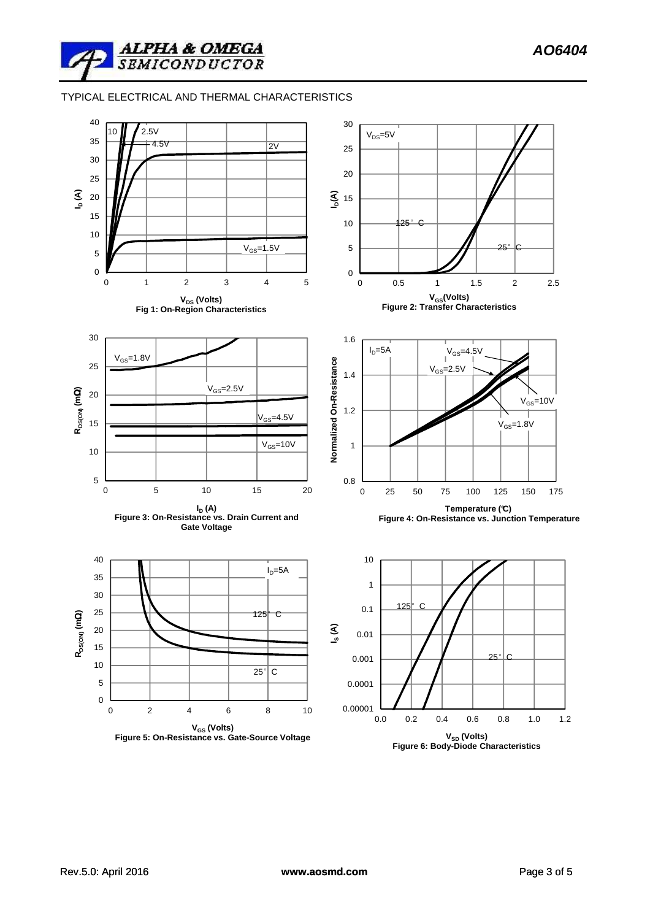TYPICAL ELECTRICAL AND THERMAL CHARACTERISTICS

**ALPHA & OMEGA**<br>SEMICONDUCTOR

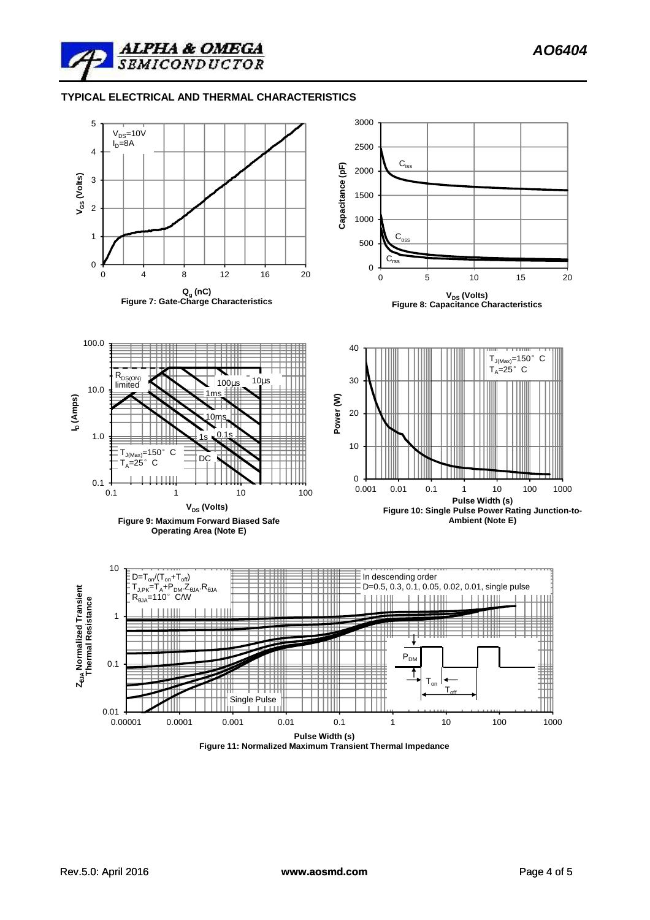

## **TYPICAL ELECTRICAL AND THERMAL CHARACTERISTICS**